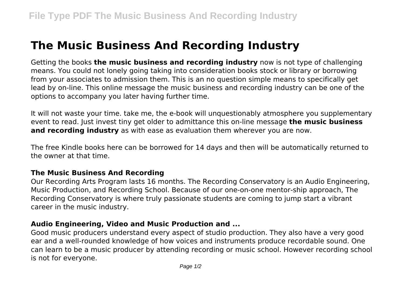## **The Music Business And Recording Industry**

Getting the books **the music business and recording industry** now is not type of challenging means. You could not lonely going taking into consideration books stock or library or borrowing from your associates to admission them. This is an no question simple means to specifically get lead by on-line. This online message the music business and recording industry can be one of the options to accompany you later having further time.

It will not waste your time. take me, the e-book will unquestionably atmosphere you supplementary event to read. Just invest tiny get older to admittance this on-line message **the music business and recording industry** as with ease as evaluation them wherever you are now.

The free Kindle books here can be borrowed for 14 days and then will be automatically returned to the owner at that time.

## **The Music Business And Recording**

Our Recording Arts Program lasts 16 months. The Recording Conservatory is an Audio Engineering, Music Production, and Recording School. Because of our one-on-one mentor-ship approach, The Recording Conservatory is where truly passionate students are coming to jump start a vibrant career in the music industry.

## **Audio Engineering, Video and Music Production and ...**

Good music producers understand every aspect of studio production. They also have a very good ear and a well-rounded knowledge of how voices and instruments produce recordable sound. One can learn to be a music producer by attending recording or music school. However recording school is not for everyone.